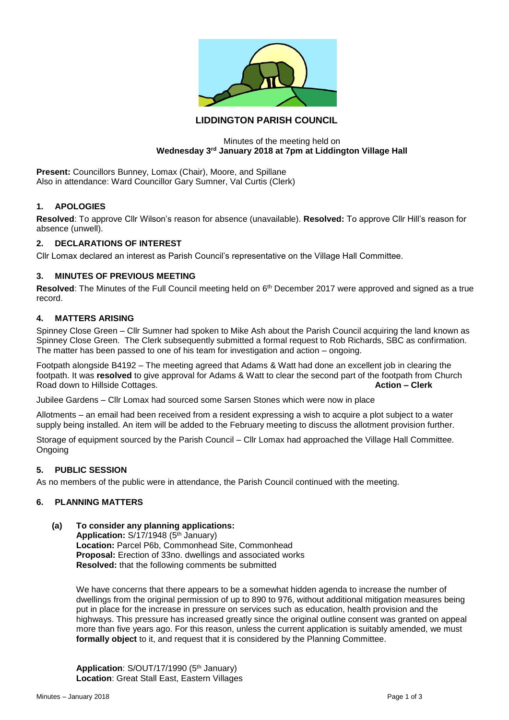

# **LIDDINGTON PARISH COUNCIL**

### Minutes of the meeting held on **Wednesday 3rd January 2018 at 7pm at Liddington Village Hall**

**Present:** Councillors Bunney, Lomax (Chair), Moore, and Spillane Also in attendance: Ward Councillor Gary Sumner, Val Curtis (Clerk)

# **1. APOLOGIES**

**Resolved**: To approve Cllr Wilson's reason for absence (unavailable). **Resolved:** To approve Cllr Hill's reason for absence (unwell).

# **2. DECLARATIONS OF INTEREST**

Cllr Lomax declared an interest as Parish Council's representative on the Village Hall Committee.

# **3. MINUTES OF PREVIOUS MEETING**

Resolved: The Minutes of the Full Council meeting held on 6<sup>th</sup> December 2017 were approved and signed as a true record.

### **4. MATTERS ARISING**

Spinney Close Green – Cllr Sumner had spoken to Mike Ash about the Parish Council acquiring the land known as Spinney Close Green. The Clerk subsequently submitted a formal request to Rob Richards, SBC as confirmation. The matter has been passed to one of his team for investigation and action – ongoing.

Footpath alongside B4192 – The meeting agreed that Adams & Watt had done an excellent job in clearing the footpath. It was **resolved** to give approval for Adams & Watt to clear the second part of the footpath from Church **Road down to Hillside Cottages.** 

Jubilee Gardens – Cllr Lomax had sourced some Sarsen Stones which were now in place

Allotments – an email had been received from a resident expressing a wish to acquire a plot subject to a water supply being installed. An item will be added to the February meeting to discuss the allotment provision further.

Storage of equipment sourced by the Parish Council – Cllr Lomax had approached the Village Hall Committee. **Ongoing** 

# **5. PUBLIC SESSION**

As no members of the public were in attendance, the Parish Council continued with the meeting.

# **6. PLANNING MATTERS**

#### **(a) To consider any planning applications:**

Application: S/17/1948 (5<sup>th</sup> January) **Location:** Parcel P6b, Commonhead Site, Commonhead **Proposal:** Erection of 33no. dwellings and associated works **Resolved:** that the following comments be submitted

We have concerns that there appears to be a somewhat hidden agenda to increase the number of dwellings from the original permission of up to 890 to 976, without additional mitigation measures being put in place for the increase in pressure on services such as education, health provision and the highways. This pressure has increased greatly since the original outline consent was granted on appeal more than five years ago. For this reason, unless the current application is suitably amended, we must **formally object** to it, and request that it is considered by the Planning Committee.

Application: S/OUT/17/1990 (5<sup>th</sup> January) **Location**: Great Stall East, Eastern Villages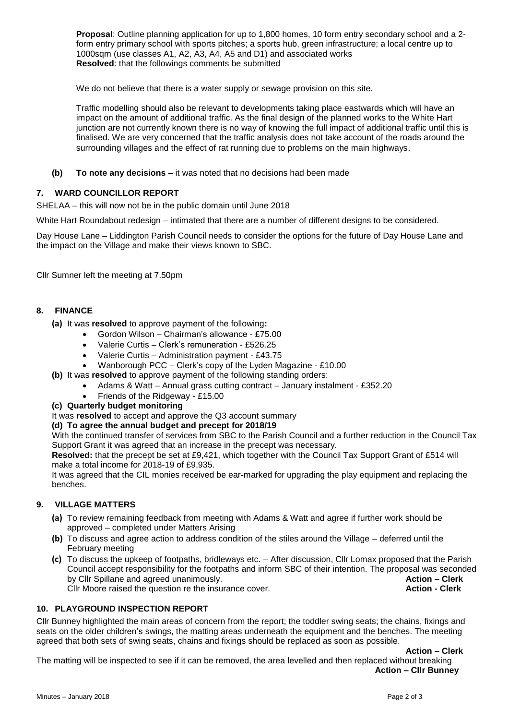**Proposal**: Outline planning application for up to 1,800 homes, 10 form entry secondary school and a 2 form entry primary school with sports pitches; a sports hub, green infrastructure; a local centre up to 1000sqm (use classes A1, A2, A3, A4, A5 and D1) and associated works **Resolved**: that the followings comments be submitted

We do not believe that there is a water supply or sewage provision on this site.

Traffic modelling should also be relevant to developments taking place eastwards which will have an impact on the amount of additional traffic. As the final design of the planned works to the White Hart junction are not currently known there is no way of knowing the full impact of additional traffic until this is finalised. We are very concerned that the traffic analysis does not take account of the roads around the surrounding villages and the effect of rat running due to problems on the main highways.

**(b) To note any decisions –** it was noted that no decisions had been made

# **7. WARD COUNCILLOR REPORT**

SHELAA – this will now not be in the public domain until June 2018

White Hart Roundabout redesign – intimated that there are a number of different designs to be considered.

Day House Lane – Liddington Parish Council needs to consider the options for the future of Day House Lane and the impact on the Village and make their views known to SBC.

Cllr Sumner left the meeting at 7.50pm

### **8. FINANCE**

**(a)** It was **resolved** to approve payment of the following**:**

- Gordon Wilson Chairman's allowance £75.00
- Valerie Curtis Clerk's remuneration £526.25
- Valerie Curtis Administration payment £43.75
- Wanborough PCC Clerk's copy of the Lyden Magazine £10.00
- **(b)** It was **resolved** to approve payment of the following standing orders:
	- Adams & Watt Annual grass cutting contract January instalment £352.20
		- Friends of the Ridgeway £15.00
- **(c) Quarterly budget monitoring**

It was **resolved** to accept and approve the Q3 account summary

#### **(d) To agree the annual budget and precept for 2018/19**

With the continued transfer of services from SBC to the Parish Council and a further reduction in the Council Tax Support Grant it was agreed that an increase in the precept was necessary.

**Resolved:** that the precept be set at £9,421, which together with the Council Tax Support Grant of £514 will make a total income for 2018-19 of £9,935.

It was agreed that the CIL monies received be ear**-**marked for upgrading the play equipment and replacing the benches.

# **9. VILLAGE MATTERS**

- **(a)** To review remaining feedback from meeting with Adams & Watt and agree if further work should be approved – completed under Matters Arising
- **(b)** To discuss and agree action to address condition of the stiles around the Village deferred until the February meeting
- **(c)** To discuss the upkeep of footpaths, bridleways etc. After discussion, Cllr Lomax proposed that the Parish Council accept responsibility for the footpaths and inform SBC of their intention. The proposal was seconded by Cllr Spillane and agreed unanimously. **Action – Clerk** Cllr Moore raised the question re the insurance cover. **Action - Clerk**

# **10. PLAYGROUND INSPECTION REPORT**

Cllr Bunney highlighted the main areas of concern from the report; the toddler swing seats; the chains, fixings and seats on the older children's swings, the matting areas underneath the equipment and the benches. The meeting agreed that both sets of swing seats, chains and fixings should be replaced as soon as possible.

**Action – Clerk**

The matting will be inspected to see if it can be removed, the area levelled and then replaced without breaking **Action – Cllr Bunney**